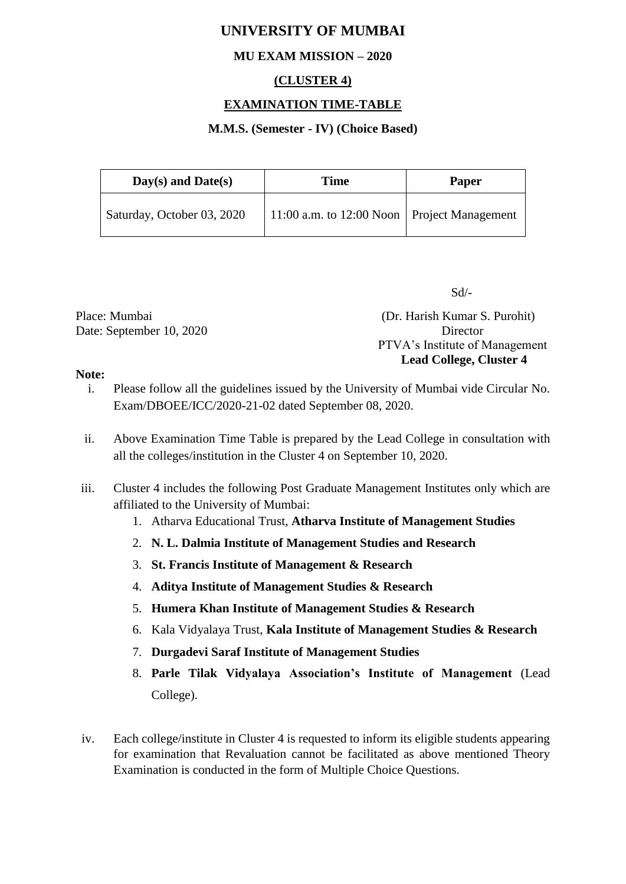# **UNIVERSITY OF MUMBAI**

## **MU EXAM MISSION – 2020**

## **(CLUSTER 4)**

### **EXAMINATION TIME-TABLE**

#### **M.M.S. (Semester - IV) (Choice Based)**

| $Day(s)$ and $Date(s)$     | Time                                          | <b>Paper</b> |
|----------------------------|-----------------------------------------------|--------------|
| Saturday, October 03, 2020 | 11:00 a.m. to 12:00 Noon   Project Management |              |

Sd/-

Date: September 10, 2020 Director

Place: Mumbai (Dr. Harish Kumar S. Purohit) PTVA's Institute of Management **Lead College, Cluster 4**

#### **Note:**

- i. Please follow all the guidelines issued by the University of Mumbai vide Circular No. Exam/DBOEE/ICC/2020-21-02 dated September 08, 2020.
- ii. Above Examination Time Table is prepared by the Lead College in consultation with all the colleges/institution in the Cluster 4 on September 10, 2020.
- iii. Cluster 4 includes the following Post Graduate Management Institutes only which are affiliated to the University of Mumbai:
	- 1. Atharva Educational Trust, **Atharva Institute of Management Studies**
	- 2. **N. L. Dalmia Institute of Management Studies and Research**
	- 3. **St. Francis Institute of Management & Research**
	- 4. **Aditya Institute of Management Studies & Research**
	- 5. **Humera Khan Institute of Management Studies & Research**
	- 6. Kala Vidyalaya Trust, **Kala Institute of Management Studies & Research**
	- 7. **Durgadevi Saraf Institute of Management Studies**
	- 8. **Parle Tilak Vidyalaya Association's Institute of Management** (Lead College).
- iv. Each college/institute in Cluster 4 is requested to inform its eligible students appearing for examination that Revaluation cannot be facilitated as above mentioned Theory Examination is conducted in the form of Multiple Choice Questions.